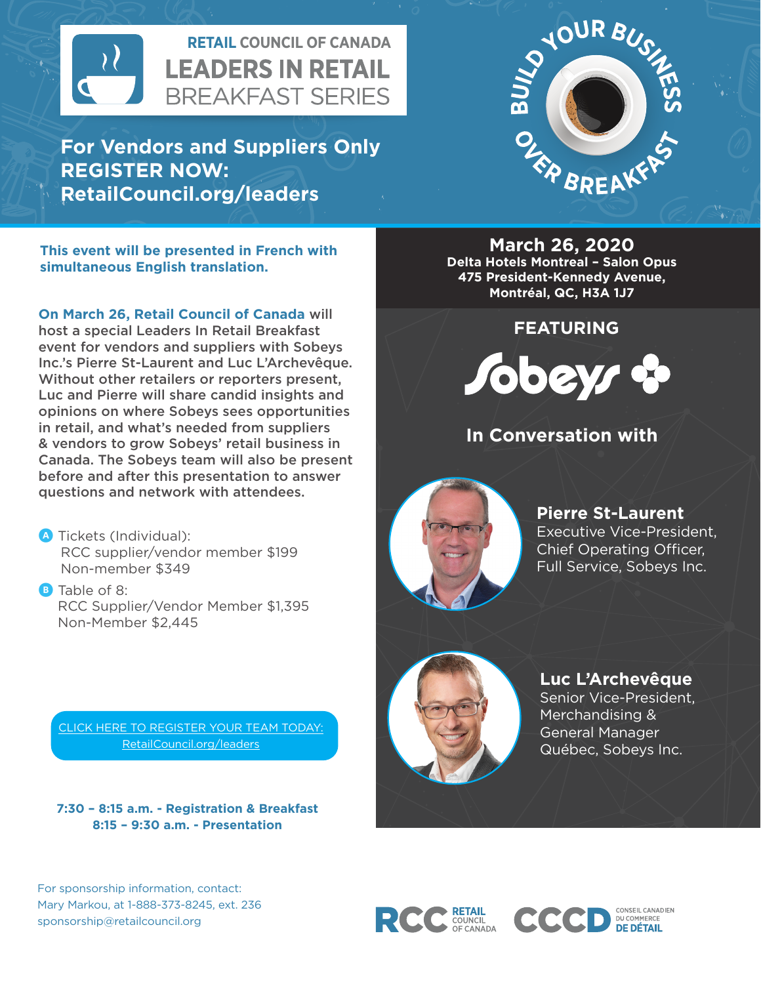

**For Vendors and Suppliers Only REGISTER NOW: RetailCouncil.org/leaders**



**This event will be presented in French with simultaneous English translation.**

**On March 26, Retail Council of Canada** will host a special Leaders In Retail Breakfast event for vendors and suppliers with Sobeys Inc.'s Pierre St-Laurent and Luc L'Archevêque. Without other retailers or reporters present. Luc and Pierre will share candid insights and opinions on where Sobeys sees opportunities in retail, and what's needed from suppliers & vendors to grow Sobeys' retail business in Canada. The Sobeys team will also be present before and after this presentation to answer questions and network with attendees.

**A** Tickets (Individual): RCC supplier/vendor member \$199 Non-member \$349

**B** Table of 8: RCC Supplier/Vendor Member \$1,395 Non-Member \$2,445

[CLICK HERE TO REGISTER YOUR TEAM TODAY:](https://www.retailcouncil.org/events/leaders-in-retail-breakfast-luc-larchevque-sobeys-quebec/) [RetailCouncil.org/leaders](https://www.retailcouncil.org/events/leaders-in-retail-breakfast-luc-larchevque-sobeys-quebec/)

**7:30 – 8:15 a.m. - Registration & Breakfast 8:15 – 9:30 a.m. - Presentation**



**March 26, 2020 Delta Hotels Montreal – Salon Opus 475 President-Kennedy Avenue, Montréal, QC, H3A 1J7**

**FEATURING**



## **In Conversation with**



**Pierre St-Laurent** Executive Vice-President, Chief Operating Officer, Full Service, Sobeys Inc.



**Luc L'Archevêque**

Senior Vice-President, Merchandising & General Manager Québec, Sobeys Inc.

CONSEIL CANADIEN

DU COMMERCE